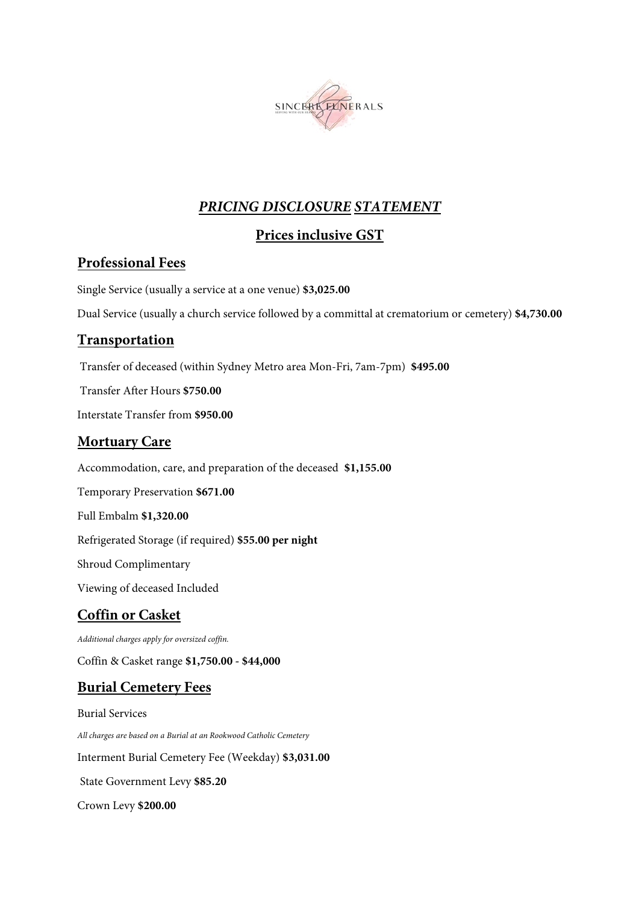

## *PRICING DISCLOSURE STATEMENT*

# **Prices inclusive GST**

## **Professional Fees**

Single Service (usually a service at a one venue) **\$3,025.00**

Dual Service (usually a church service followed by a committal at crematorium or cemetery) **\$4,730.00**

### **Transportation**

Transfer of deceased (within Sydney Metro area Mon-Fri, 7am-7pm) **\$495.00**

Transfer After Hours **\$750.00**

Interstate Transfer from **\$950.00**

## **Mortuary Care**

Accommodation, care, and preparation of the deceased **\$1,155.00**

Temporary Preservation **\$671.00**

Full Embalm **\$1,320.00**

Refrigerated Storage (if required) **\$55.00 per night**

Shroud Complimentary

Viewing of deceased Included

## **Coffin or Casket**

*Additional charges apply for oversized coffin.* 

Coffin & Casket range **\$1,750.00 - \$44,000**

## **Burial Cemetery Fees**

Burial Services *All charges are based on a Burial at an Rookwood Catholic Cemetery*  Interment Burial Cemetery Fee (Weekday) **\$3,031.00**  State Government Levy **\$85.20**  Crown Levy **\$200.00**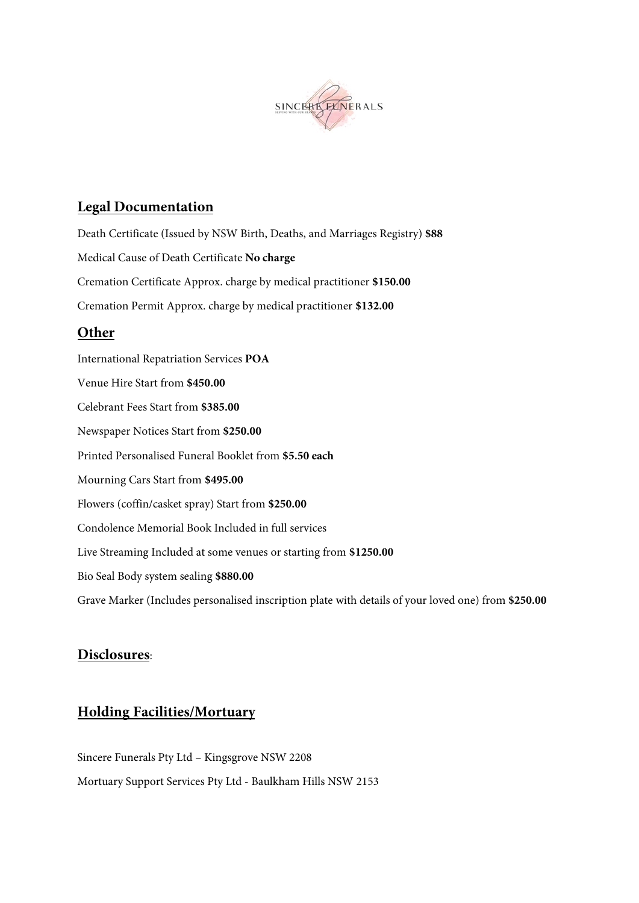

## **Legal Documentation**

Death Certificate (Issued by NSW Birth, Deaths, and Marriages Registry) **\$88**  Medical Cause of Death Certificate **No charge** Cremation Certificate Approx. charge by medical practitioner **\$150.00** Cremation Permit Approx. charge by medical practitioner **\$132.00 Other**  International Repatriation Services **POA** Venue Hire Start from **\$450.00** Celebrant Fees Start from **\$385.00** Newspaper Notices Start from **\$250.00** Printed Personalised Funeral Booklet from **\$5.50 each** Mourning Cars Start from **\$495.00** Flowers (coffin/casket spray) Start from **\$250.00** Condolence Memorial Book Included in full services Live Streaming Included at some venues or starting from **\$1250.00** Bio Seal Body system sealing **\$880.00** Grave Marker (Includes personalised inscription plate with details of your loved one) from **\$250.00**

#### **Disclosures**:

## **Holding Facilities/Mortuary**

Sincere Funerals Pty Ltd – Kingsgrove NSW 2208 Mortuary Support Services Pty Ltd - Baulkham Hills NSW 2153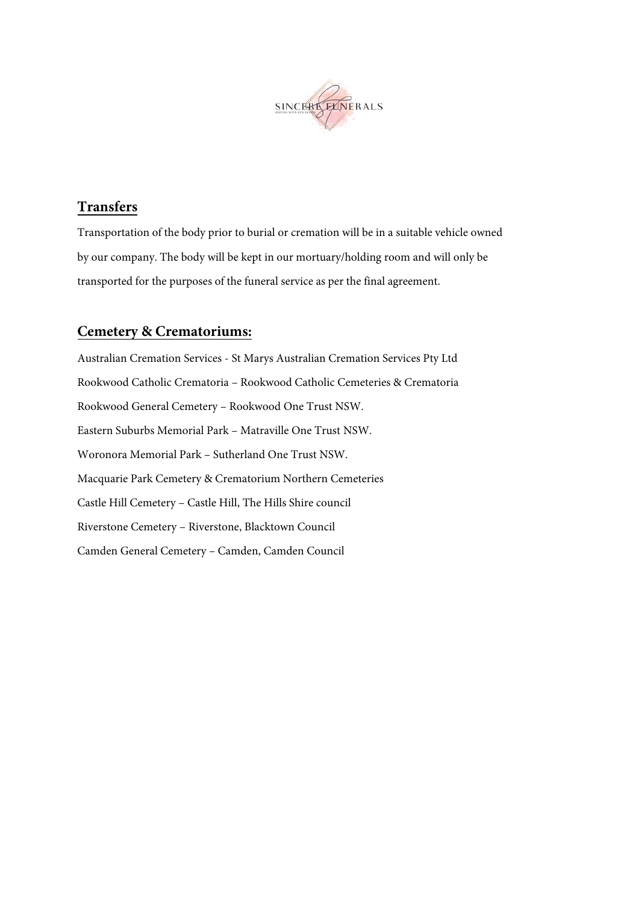

## **Transfers**

Transportation of the body prior to burial or cremation will be in a suitable vehicle owned by our company. The body will be kept in our mortuary/holding room and will only be transported for the purposes of the funeral service as per the final agreement.

### **Cemetery & Crematoriums:**

Australian Cremation Services - St Marys Australian Cremation Services Pty Ltd Rookwood Catholic Crematoria – Rookwood Catholic Cemeteries & Crematoria Rookwood General Cemetery – Rookwood One Trust NSW. Eastern Suburbs Memorial Park – Matraville One Trust NSW. Woronora Memorial Park – Sutherland One Trust NSW. Macquarie Park Cemetery & Crematorium Northern Cemeteries Castle Hill Cemetery – Castle Hill, The Hills Shire council Riverstone Cemetery – Riverstone, Blacktown Council Camden General Cemetery – Camden, Camden Council